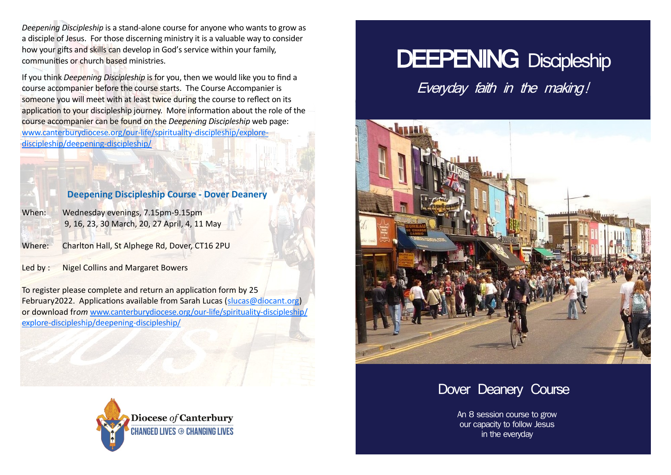*Deepening Discipleship* is a stand-alone course for anyone who wants to grow as a disciple of Jesus. For those discerning ministry it is a valuable way to consider how your gifts and skills can develop in God's service within your family, communities or church based ministries.

If you think *Deepening Discipleship* is for you, then we would like you to find a course accompanier before the course starts. The Course Accompanier is someone you will meet with at least twice during the course to reflect on its application to your discipleship journey. More information about the role of the course accompanier can be found on the *Deepening Discipleship* web page: [www.canterburydiocese.org/our](http://www.canterburydiocese.org/our-life/spirituality-discipleship/explore-discipleship/deepening-discipleship/)-life/spirituality-discipleship/explore[discipleship/deepening](http://www.canterburydiocese.org/our-life/spirituality-discipleship/explore-discipleship/deepening-discipleship/)-discipleship/

# DEEPENING Discipleship Everyday faith in the making!



# **Deepening Discipleship Course - Dover Deanery**

When: Wednesday evenings, 7.15pm-9.15pm 9, 16, 23, 30 March, 20, 27 April, 4, 11 May

Where: Charlton Hall, St Alphege Rd, Dover, CT16 2PU

Led by : Nigel Collins and Margaret Bowers

To register please complete and return an application form by 25 February2022. Applications available from Sarah Lucas (slucas@diocant.org) or download fr*om* [www.canterburydiocese.org/our](http://www.canterburydiocese.org/our-life/spirituality-discipleship/explore-discipleship/deepening-discipleship/)-life/spirituality-discipleship/ explore-[discipleship/deepening](http://www.canterburydiocese.org/our-life/spirituality-discipleship/explore-discipleship/deepening-discipleship/)-discipleship/





An 8 session course to grow our capacity to follow Jesus in the everyday